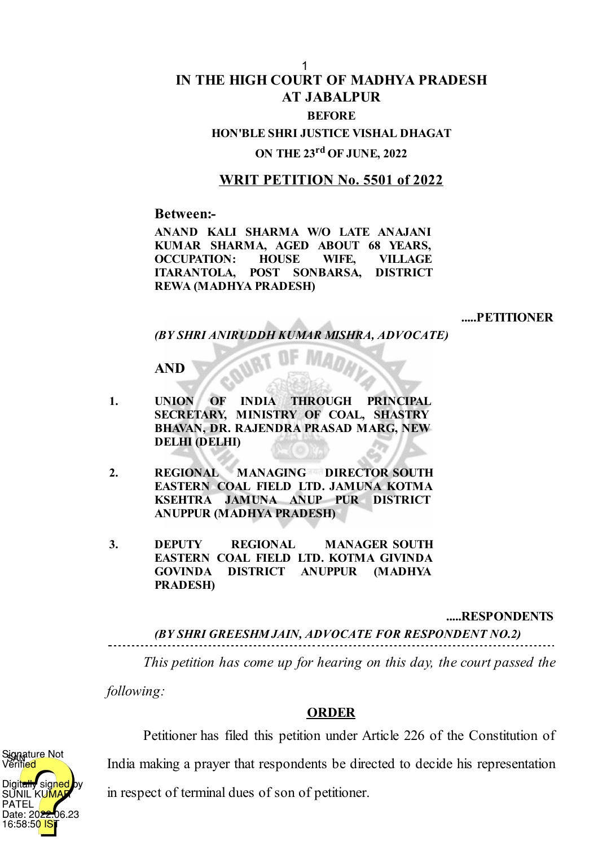## **IN THE HIGH COURT OF MADHYA PRADESH AT JABALPUR BEFORE**

**HON'BLE SHRI JUSTICE VISHAL DHAGAT**

**ON THE 23 rd OF JUNE, 2022**

## **WRIT PETITION No. 5501 of 2022**

**Between:-**

**ANAND KALI SHARMA W/O LATE ANAJANI KUMAR SHARMA, AGED ABOUT 68 YEARS, OCCUPATION: HOUSE WIFE, VILLAGE ITARANTOLA, POST SONBARSA, DISTRICT REWA (MADHYA PRADESH)**

**.....PETITIONER**

*(BY SHRI ANIRUDDH KUMAR MISHRA, ADVOCATE)*

**AND**

- **1. UNION OF INDIA THROUGH PRINCIPAL SECRETARY, MINISTRY OF COAL, SHASTRY BHAVAN, DR. RAJENDRA PRASAD MARG, NEW DELHI (DELHI)**
- **2. REGIONAL MANAGING DIRECTOR SOUTH EASTERN COAL FIELD LTD. JAMUNA KOTMA KSEHTRA JAMUNA ANUP PUR DISTRICT ANUPPUR (MADHYA PRADESH)**
- **3. DEPUTY REGIONAL MANAGER SOUTH EASTERN COAL FIELD LTD. KOTMA GIVINDA GOVINDA DISTRICT ANUPPUR (MADHYA PRADESH)**

**.....RESPONDENTS**

*(BY SHRI GREESHM JAIN, ADVOCATE FOR RESPONDENT NO.2)*

*This petition has come up for hearing on this day, the court passed the*

*following:*

## **ORDER**

 $\blacktriangledown$ signed SUNIL KU<mark>M</mark> PATEL Date: 20<del>22.</del>06.23 16:58:50 ignature Not Verified

Petitioner has filed this petition under Article 226 of the Constitution of

India making a prayer that respondents be directed to decide his representation

in respect of terminal dues of son of petitioner.